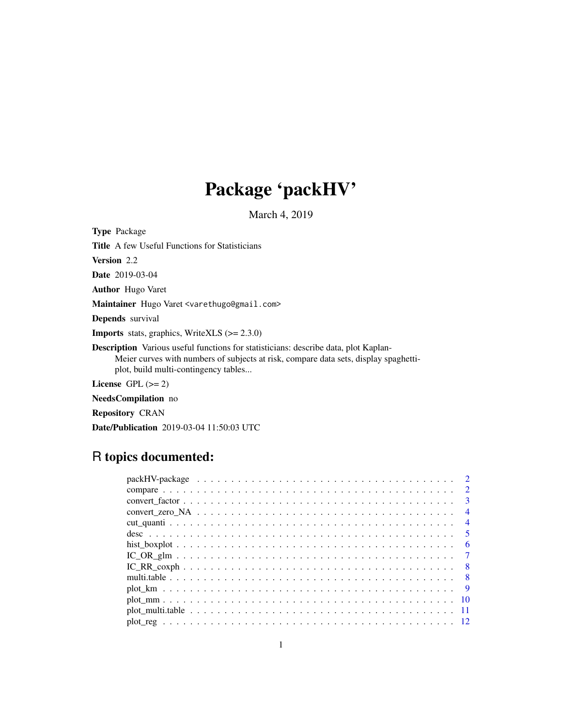# Package 'packHV'

March 4, 2019

<span id="page-0-0"></span>Type Package Title A few Useful Functions for Statisticians Version 2.2 Date 2019-03-04 Author Hugo Varet Maintainer Hugo Varet <varethugo@gmail.com> Depends survival **Imports** stats, graphics, WriteXLS  $(>= 2.3.0)$ Description Various useful functions for statisticians: describe data, plot Kaplan-Meier curves with numbers of subjects at risk, compare data sets, display spaghettiplot, build multi-contingency tables... License GPL  $(>= 2)$ NeedsCompilation no

Repository CRAN

Date/Publication 2019-03-04 11:50:03 UTC

# R topics documented:

|               | $\overline{2}$ |
|---------------|----------------|
|               | $\mathcal{E}$  |
|               | $\overline{4}$ |
|               | $\overline{4}$ |
|               | - 5            |
|               | - 6            |
|               |                |
|               | - 8            |
|               |                |
|               | $\overline{9}$ |
| $plot\_mm$ 10 |                |
|               |                |
|               |                |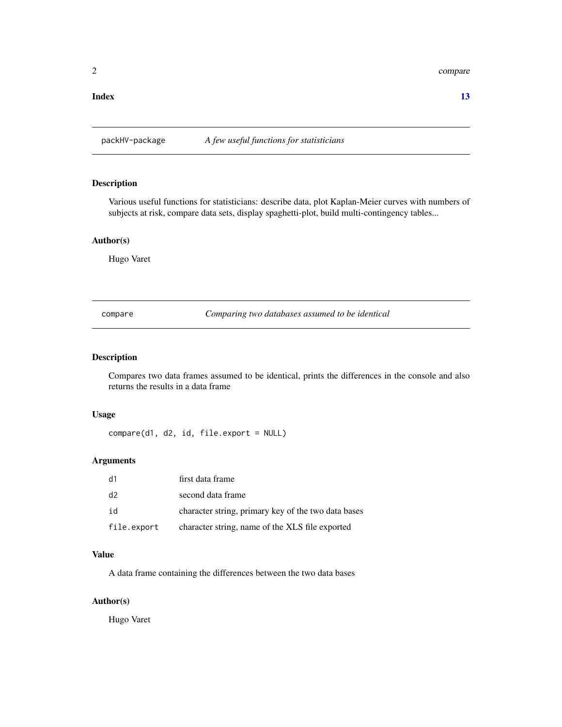#### <span id="page-1-0"></span>2 compare that the compare of the compare of the compare of the compare of the compare of the compare of the compare of the compare of the compare of the compare of the compare of the compare of the compare of the compare

#### **Index** [13](#page-12-0)

packHV-package *A few useful functions for statisticians*

#### Description

Various useful functions for statisticians: describe data, plot Kaplan-Meier curves with numbers of subjects at risk, compare data sets, display spaghetti-plot, build multi-contingency tables...

# Author(s)

Hugo Varet

compare *Comparing two databases assumed to be identical*

# Description

Compares two data frames assumed to be identical, prints the differences in the console and also returns the results in a data frame

#### Usage

compare(d1, d2, id, file.export = NULL)

#### Arguments

| d1             | first data frame                                    |
|----------------|-----------------------------------------------------|
| d <sub>2</sub> | second data frame                                   |
| id             | character string, primary key of the two data bases |
| file.export    | character string, name of the XLS file exported     |

#### Value

A data frame containing the differences between the two data bases

#### Author(s)

Hugo Varet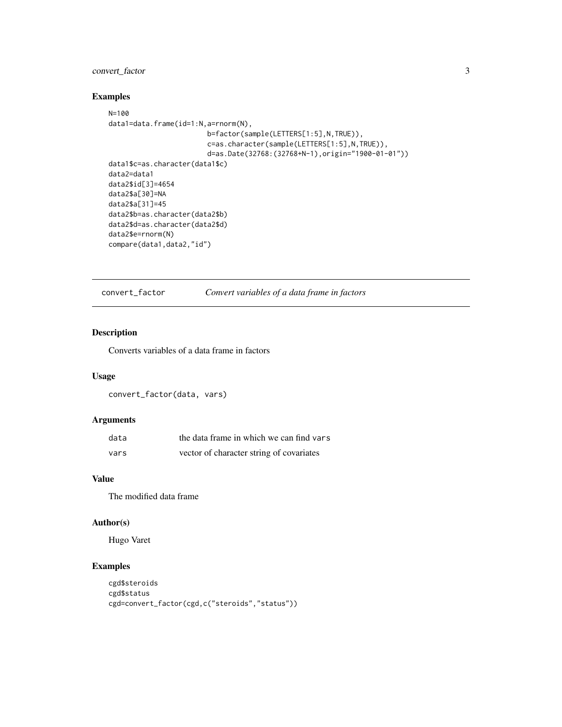# <span id="page-2-0"></span>convert\_factor 3

# Examples

```
N=100
data1=data.frame(id=1:N,a=rnorm(N),
                        b=factor(sample(LETTERS[1:5],N,TRUE)),
                        c=as.character(sample(LETTERS[1:5],N,TRUE)),
                        d=as.Date(32768:(32768+N-1),origin="1900-01-01"))
data1$c=as.character(data1$c)
data2=data1
data2$id[3]=4654
data2$a[30]=NA
data2$a[31]=45
data2$b=as.character(data2$b)
data2$d=as.character(data2$d)
data2$e=rnorm(N)
compare(data1,data2,"id")
```
convert\_factor *Convert variables of a data frame in factors*

# Description

Converts variables of a data frame in factors

# Usage

convert\_factor(data, vars)

### Arguments

| data | the data frame in which we can find vars |
|------|------------------------------------------|
| vars | vector of character string of covariates |

#### Value

The modified data frame

### Author(s)

Hugo Varet

# Examples

```
cgd$steroids
cgd$status
cgd=convert_factor(cgd,c("steroids","status"))
```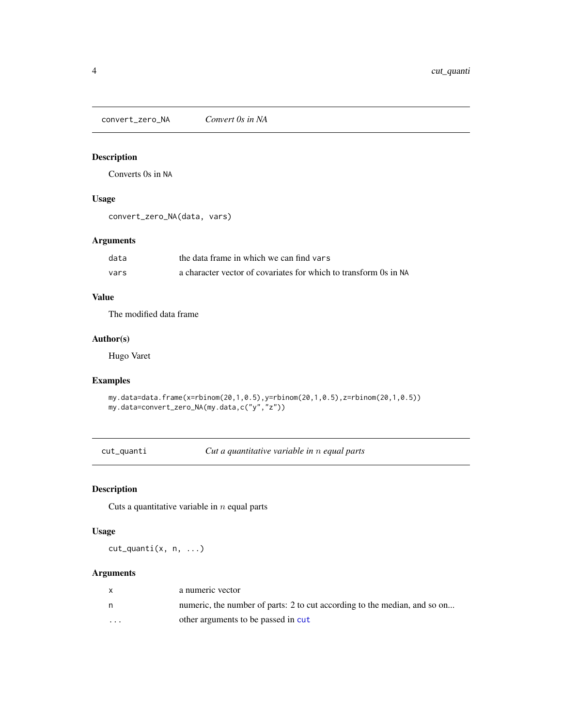<span id="page-3-0"></span>convert\_zero\_NA *Convert 0s in NA*

# Description

Converts 0s in NA

# Usage

```
convert_zero_NA(data, vars)
```
# Arguments

| data | the data frame in which we can find vars                         |
|------|------------------------------------------------------------------|
| vars | a character vector of covariates for which to transform 0s in NA |

# Value

The modified data frame

#### Author(s)

Hugo Varet

#### Examples

```
my.data=data.frame(x=rbinom(20,1,0.5),y=rbinom(20,1,0.5),z=rbinom(20,1,0.5))
my.data=convert_zero_NA(my.data,c("y","z"))
```
cut\_quanti *Cut a quantitative variable in* n *equal parts*

# Description

Cuts a quantitative variable in  $n$  equal parts

# Usage

cut\_quanti(x, n, ...)

|                         | a numeric vector                                                          |
|-------------------------|---------------------------------------------------------------------------|
|                         | numeric, the number of parts: 2 to cut according to the median, and so on |
| $\cdot$ $\cdot$ $\cdot$ | other arguments to be passed in cut                                       |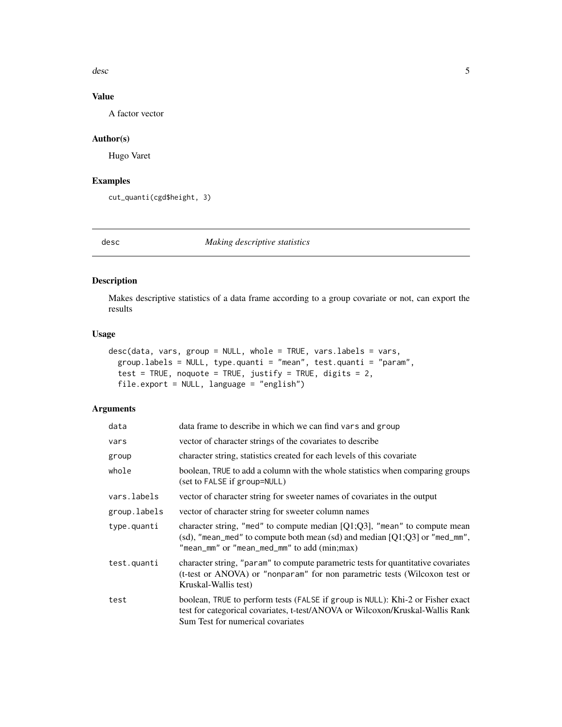<span id="page-4-0"></span>desc 5 and 5 and 5 and 5 and 5 and 5 and 5 and 5 and 5 and 5 and 5 and 5 and 5 and 5 and 5 and 5 and 5 and 5 and 5 and 5 and 5 and 5 and 5 and 5 and 5 and 5 and 5 and 5 and 5 and 5 and 5 and 5 and 5 and 5 and 5 and 5 and 5

# Value

A factor vector

# Author(s)

Hugo Varet

# Examples

cut\_quanti(cgd\$height, 3)

desc *Making descriptive statistics*

# Description

Makes descriptive statistics of a data frame according to a group covariate or not, can export the results

# Usage

```
desc(data, vars, group = NULL, whole = TRUE, vars.labels = vars,
 group.labels = NULL, type.quanti = "mean", test.quanti = "param",
 test = TRUE, noquote = TRUE, justify = TRUE, digits = 2,
  file.export = NULL, language = "english")
```

| data         | data frame to describe in which we can find vars and group                                                                                                                                                  |
|--------------|-------------------------------------------------------------------------------------------------------------------------------------------------------------------------------------------------------------|
| vars         | vector of character strings of the covariates to describe                                                                                                                                                   |
| group        | character string, statistics created for each levels of this covariate                                                                                                                                      |
| whole        | boolean, TRUE to add a column with the whole statistics when comparing groups<br>(set to FALSE if group=NULL)                                                                                               |
| vars.labels  | vector of character string for sweeter names of covariates in the output                                                                                                                                    |
| group.labels | vector of character string for sweeter column names                                                                                                                                                         |
| type.quanti  | character string, "med" to compute median $[Q1;Q3]$ , "mean" to compute mean<br>(sd), "mean_med" to compute both mean (sd) and median $[Q1;Q3]$ or "med_mm",<br>"mean_mm" or "mean_med_mm" to add (min;max) |
| test.quanti  | character string, "param" to compute parametric tests for quantitative covariates<br>(t-test or ANOVA) or "nonparam" for non parametric tests (Wilcoxon test or<br>Kruskal-Wallis test)                     |
| test         | boolean, TRUE to perform tests (FALSE if group is NULL): Khi-2 or Fisher exact<br>test for categorical covariates, t-test/ANOVA or Wilcoxon/Kruskal-Wallis Rank<br>Sum Test for numerical covariates        |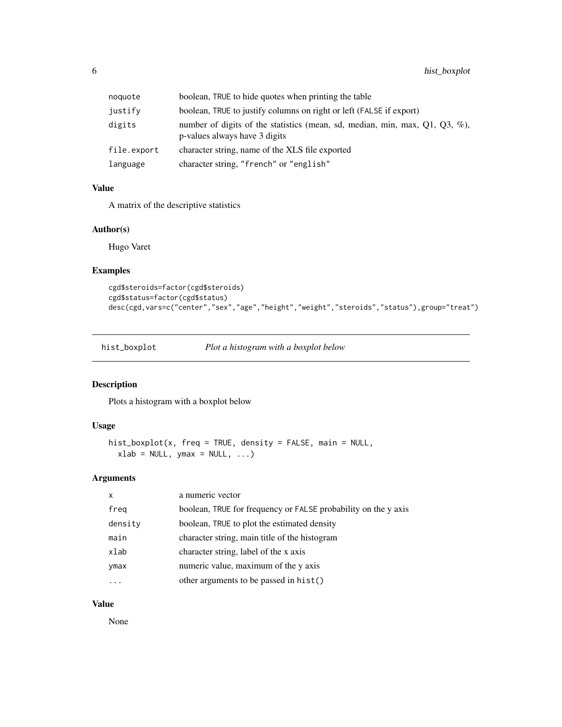<span id="page-5-0"></span>

| noquote     | boolean, TRUE to hide quotes when printing the table                                                         |
|-------------|--------------------------------------------------------------------------------------------------------------|
| justify     | boolean, TRUE to justify columns on right or left (FALSE if export)                                          |
| digits      | number of digits of the statistics (mean, sd, median, min, max, Q1, Q3, %),<br>p-values always have 3 digits |
| file.export | character string, name of the XLS file exported                                                              |
| language    | character string, "french" or "english"                                                                      |

# Value

A matrix of the descriptive statistics

#### Author(s)

Hugo Varet

# Examples

```
cgd$steroids=factor(cgd$steroids)
cgd$status=factor(cgd$status)
desc(cgd,vars=c("center","sex","age","height","weight","steroids","status"),group="treat")
```
hist\_boxplot *Plot a histogram with a boxplot below*

# Description

Plots a histogram with a boxplot below

#### Usage

```
hist_boxplot(x, freq = TRUE, density = FALSE, main = NULL,
 xlab = NULL, ymax = NULL, ...)
```
# Arguments

| $\mathsf{x}$ | a numeric vector                                               |
|--------------|----------------------------------------------------------------|
| freq         | boolean, TRUE for frequency or FALSE probability on the y axis |
| density      | boolean, TRUE to plot the estimated density                    |
| main         | character string, main title of the histogram                  |
| xlab         | character string, label of the x axis                          |
| ymax         | numeric value, maximum of the y axis                           |
|              | other arguments to be passed in hist()                         |

# Value

None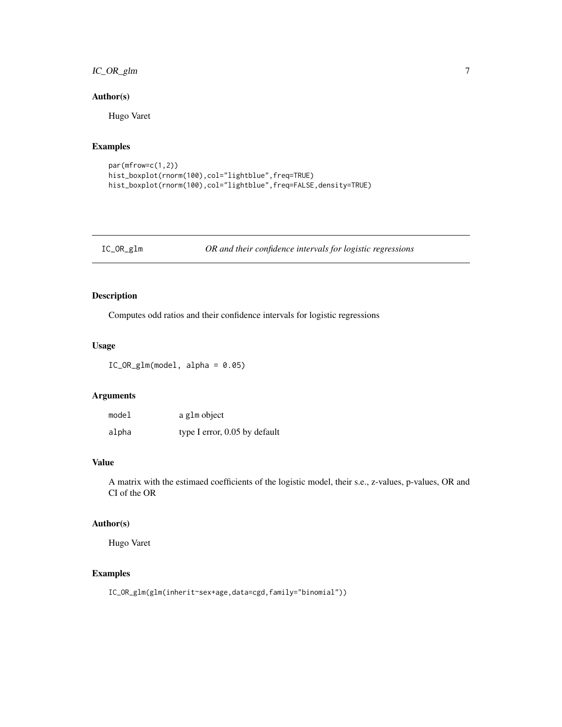# <span id="page-6-0"></span>IC\_OR\_glm 7

# Author(s)

Hugo Varet

# Examples

```
par(mfrow=c(1,2))
hist_boxplot(rnorm(100),col="lightblue",freq=TRUE)
hist_boxplot(rnorm(100),col="lightblue",freq=FALSE,density=TRUE)
```
IC\_OR\_glm *OR and their confidence intervals for logistic regressions*

# Description

Computes odd ratios and their confidence intervals for logistic regressions

#### Usage

IC\_OR\_glm(model, alpha = 0.05)

# Arguments

| model | a glm object                  |
|-------|-------------------------------|
| alpha | type I error, 0.05 by default |

#### Value

A matrix with the estimaed coefficients of the logistic model, their s.e., z-values, p-values, OR and CI of the OR

#### Author(s)

Hugo Varet

# Examples

IC\_OR\_glm(glm(inherit~sex+age,data=cgd,family="binomial"))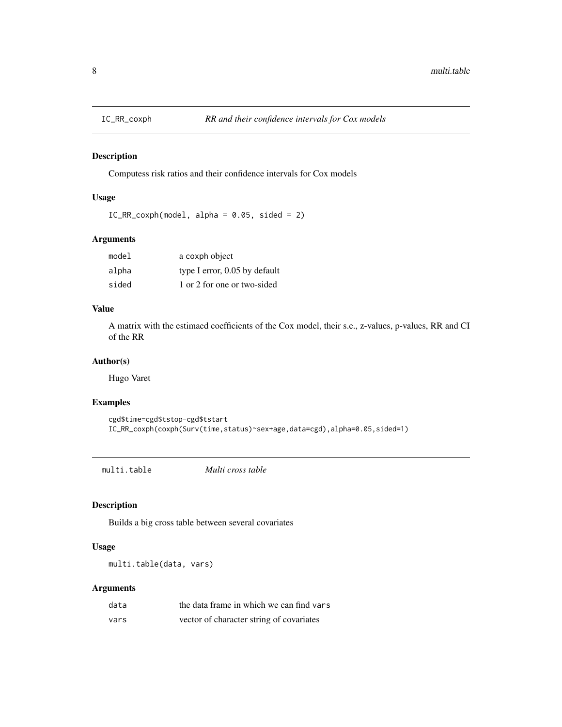<span id="page-7-0"></span>

# Description

Computess risk ratios and their confidence intervals for Cox models

# Usage

```
IC_RR_{covph(model, alpha = 0.05, sided = 2)
```
# Arguments

| model | a coxph object                |
|-------|-------------------------------|
| alpha | type I error, 0.05 by default |
| sided | 1 or 2 for one or two-sided   |

# Value

A matrix with the estimaed coefficients of the Cox model, their s.e., z-values, p-values, RR and CI of the RR

#### Author(s)

Hugo Varet

#### Examples

```
cgd$time=cgd$tstop-cgd$tstart
IC_RR_coxph(coxph(Surv(time,status)~sex+age,data=cgd),alpha=0.05,sided=1)
```
<span id="page-7-1"></span>multi.table *Multi cross table*

# Description

Builds a big cross table between several covariates

#### Usage

multi.table(data, vars)

| data | the data frame in which we can find vars |
|------|------------------------------------------|
| vars | vector of character string of covariates |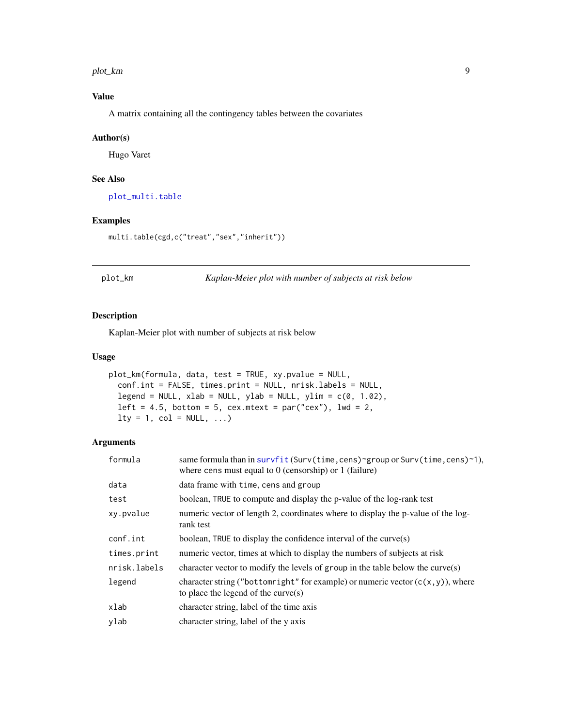<span id="page-8-0"></span>plot\_km 9

# Value

A matrix containing all the contingency tables between the covariates

#### Author(s)

Hugo Varet

# See Also

[plot\\_multi.table](#page-10-1)

#### Examples

multi.table(cgd,c("treat","sex","inherit"))

plot\_km *Kaplan-Meier plot with number of subjects at risk below*

#### Description

Kaplan-Meier plot with number of subjects at risk below

#### Usage

```
plot_km(formula, data, test = TRUE, xy.pvalue = NULL,
  conf.int = FALSE, times.print = NULL, nrisk.labels = NULL,
  legend = NULL, xlab = NULL, ylab = NULL, ylim = c(0, 1.02),
  left = 4.5, bottom = 5, cex.mtext = par("cex"), lwd = 2,
 lty = 1, col = NULL, ...
```

| formula      | same formula than in survfit (Surv(time, cens)~group or Surv(time, cens)~1),<br>where cens must equal to $0$ (censorship) or 1 (failure) |
|--------------|------------------------------------------------------------------------------------------------------------------------------------------|
| data         | data frame with time, cens and group                                                                                                     |
| test         | boolean, TRUE to compute and display the p-value of the log-rank test                                                                    |
| xy.pvalue    | numeric vector of length 2, coordinates where to display the p-value of the log-<br>rank test                                            |
| conf.int     | boolean, TRUE to display the confidence interval of the curve $(s)$                                                                      |
| times.print  | numeric vector, times at which to display the numbers of subjects at risk                                                                |
| nrisk.labels | character vector to modify the levels of group in the table below the curve(s)                                                           |
| legend       | character string ("bottomright" for example) or numeric vector $(c(x, y))$ , where<br>to place the legend of the curve $(s)$             |
| xlab         | character string, label of the time axis                                                                                                 |
| ylab         | character string, label of the y axis                                                                                                    |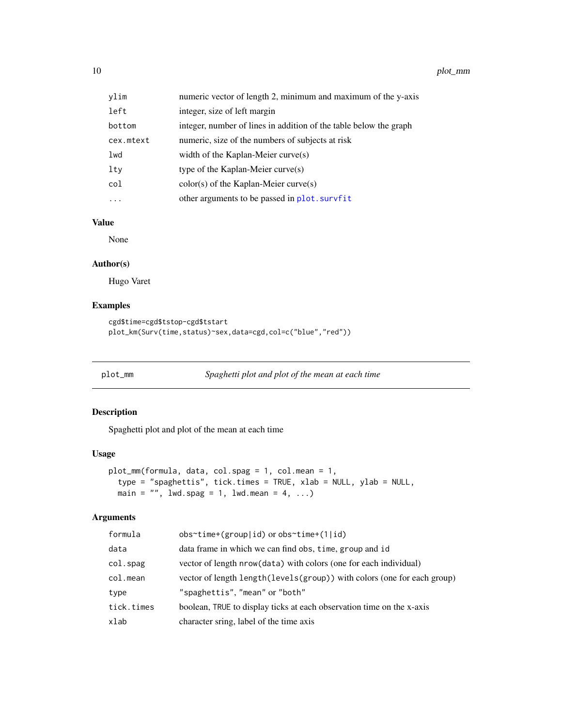<span id="page-9-0"></span>10 plot\_mm

| ylim      | numeric vector of length 2, minimum and maximum of the y-axis     |
|-----------|-------------------------------------------------------------------|
| left      | integer, size of left margin                                      |
| bottom    | integer, number of lines in addition of the table below the graph |
| cex.mtext | numeric, size of the numbers of subjects at risk                  |
| lwd       | width of the Kaplan-Meier curve $(s)$                             |
| lty       | type of the Kaplan-Meier curve $(s)$                              |
| col       | $color(s)$ of the Kaplan-Meier curve $(s)$                        |
| .         | other arguments to be passed in plot. survfit                     |

# Value

None

#### Author(s)

Hugo Varet

# Examples

```
cgd$time=cgd$tstop-cgd$tstart
plot_km(Surv(time,status)~sex,data=cgd,col=c("blue","red"))
```

```
plot_mm Spaghetti plot and plot of the mean at each time
```
# Description

Spaghetti plot and plot of the mean at each time

# Usage

```
plot_mm(formula, data, col.spag = 1, col.mean = 1,
  type = "spaghettis", tick.times = TRUE, xlab = NULL, ylab = NULL,
 main = ", lwd.spag = 1, lwd.mean = 4, ...)
```

| formula<br>$obs$ <sup>-time+</sup> (group id) or obs <sup>-time+</sup> (1 id)         |  |
|---------------------------------------------------------------------------------------|--|
| data<br>data frame in which we can find obs, time, group and id                       |  |
| $col.\$<br>vector of length nrow (data) with colors (one for each individual)         |  |
| col.mean<br>vector of length length (levels (group)) with colors (one for each group) |  |
| "spaghettis", "mean" or "both"<br>type                                                |  |
| boolean, TRUE to display ticks at each observation time on the x-axis<br>tick.times   |  |
| character sring, label of the time axis<br>xlab                                       |  |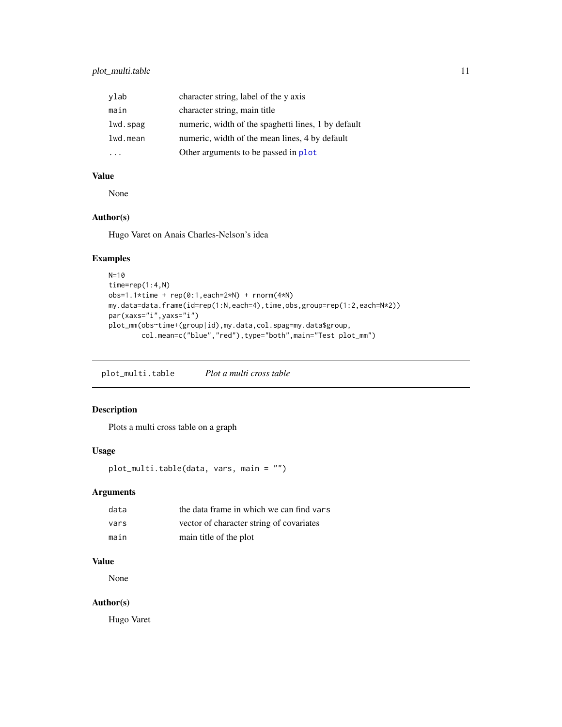# <span id="page-10-0"></span>plot\_multi.table 11

| ylab     | character string, label of the y axis               |
|----------|-----------------------------------------------------|
| main     | character string, main title                        |
| lwd.spag | numeric, width of the spaghetti lines, 1 by default |
| lwd.mean | numeric, width of the mean lines, 4 by default      |
|          | Other arguments to be passed in plot                |

# Value

None

# Author(s)

Hugo Varet on Anais Charles-Nelson's idea

#### Examples

```
N=10time=rep(1:4,N)
obs=1.1*time + rep(0:1,each=2*N) + rnorm(4*N)
my.data=data.frame(id=rep(1:N,each=4),time,obs,group=rep(1:2,each=N*2))
par(xaxs="i",yaxs="i")
plot_mm(obs~time+(group|id),my.data,col.spag=my.data$group,
       col.mean=c("blue","red"),type="both",main="Test plot_mm")
```
<span id="page-10-1"></span>plot\_multi.table *Plot a multi cross table*

## Description

Plots a multi cross table on a graph

# Usage

plot\_multi.table(data, vars, main = "")

# Arguments

| data | the data frame in which we can find vars |
|------|------------------------------------------|
| vars | vector of character string of covariates |
| main | main title of the plot                   |

# Value

None

# Author(s)

Hugo Varet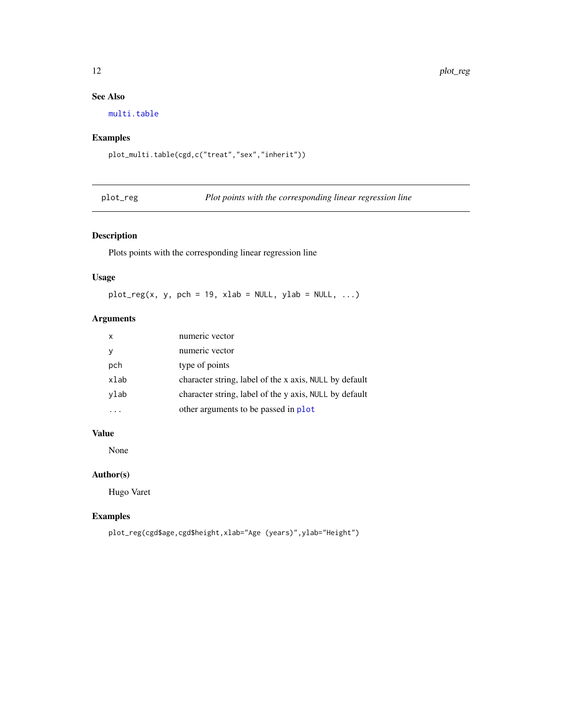# See Also

[multi.table](#page-7-1)

# Examples

plot\_multi.table(cgd,c("treat","sex","inherit"))

|  |  | plot | $\alpha$ |  |
|--|--|------|----------|--|
|--|--|------|----------|--|

Plot points with the corresponding linear regression line

# Description

Plots points with the corresponding linear regression line

# Usage

 $plot_{reg}(x, y, pch = 19, xlab = NULL, ylab = NULL, ...)$ 

# Arguments

| X    | numeric vector                                         |
|------|--------------------------------------------------------|
|      | numeric vector                                         |
| pch  | type of points                                         |
| xlab | character string, label of the x axis, NULL by default |
| ylab | character string, label of the y axis, NULL by default |
|      | other arguments to be passed in plot                   |

## Value

None

# Author(s)

Hugo Varet

#### Examples

plot\_reg(cgd\$age,cgd\$height,xlab="Age (years)",ylab="Height")

<span id="page-11-0"></span>